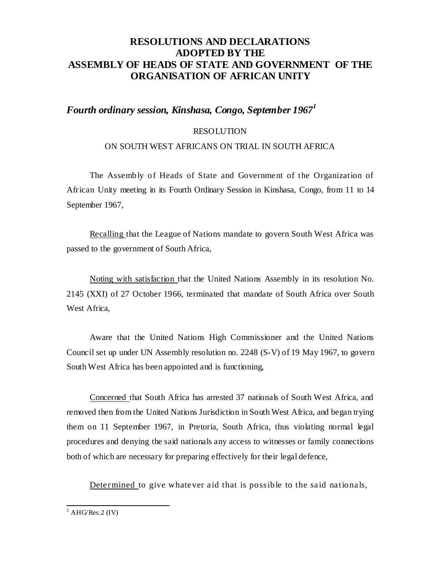## **RESOLUTIONS AND DECLARATIONS ADOPTED BY THE ASSEMBLY OF HEADS OF STATE AND GOVERNMENT OF THE ORGANISATION OF AFRICAN UNITY**

## *Fourth ordinary session, Kinshasa, Congo, September 1967<sup>1</sup>*

### RESOLUTION

### ON SOUTH WEST AFRICANS ON TRIAL IN SOUTH AFRICA

The Assembly of Heads of State and Government of the Organization of African Unity meeting in its Fourth Ordinary Session in Kinshasa, Congo, from 11 to 14 September 1967,

Recalling that the League of Nations mandate to govern South West Africa was passed to the government of South Africa,

Noting with satisfaction that the United Nations Assembly in its resolution No. 2145 (XXI) of 27 October 1966, terminated that mandate of South Africa over South West Africa,

Aware that the United Nations High Commissioner and the United Nations Council set up under UN Assembly resolution no. 2248 (S-V) of 19 May 1967, to govern South West Africa has been appointed and is functioning,

Concerned that South Africa has arrested 37 nationals of South West Africa, and removed then from the United Nations Jurisdiction in South West Africa, and began trying them on 11 September 1967, in Pretoria, South Africa, thus violating normal legal procedures and denying the said nationals any access to witnesses or family connections both of which are necessary for preparing effectively for their legal defence,

Determined to give whatever aid that is possible to the said nationals,

 $1$  AHG/Res.2 (IV)

l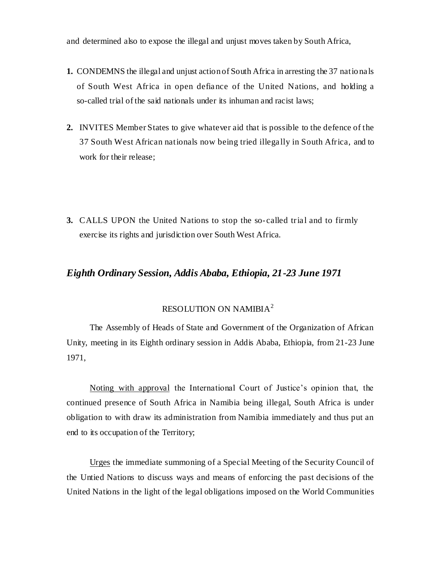and determined also to expose the illegal and unjust moves taken by South Africa,

- **1.** CONDEMNS the illegal and unjust action of South Africa in arresting the 37 nationals of South West Africa in open defiance of the United Nations, and holding a so-called trial of the said nationals under its inhuman and racist laws;
- **2.** INVITES Member States to give whatever aid that is possible to the defence of the 37 South West African nationals now being tried illegally in South Africa, and to work for their release;
- **3.** CALLS UPON the United Nations to stop the so-called trial and to firmly exercise its rights and jurisdiction over South West Africa.

## *Eighth Ordinary Session, Addis Ababa, Ethiopia, 21-23 June 1971*

# RESOLUTION ON NAMIBIA<sup>2</sup>

The Assembly of Heads of State and Government of the Organization of African Unity, meeting in its Eighth ordinary session in Addis Ababa, Ethiopia, from 21-23 June 1971,

Noting with approval the International Court of Justice's opinion that, the continued presence of South Africa in Namibia being illegal, South Africa is under obligation to with draw its administration from Namibia immediately and thus put an end to its occupation of the Territory;

Urges the immediate summoning of a Special Meeting of the Security Council of the Untied Nations to discuss ways and means of enforcing the past decisions of the United Nations in the light of the legal obligations imposed on the World Communities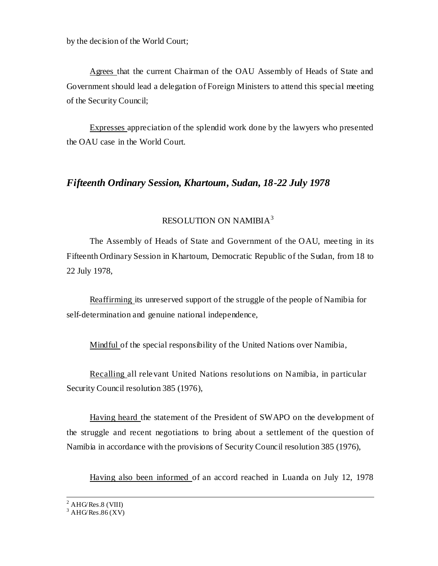by the decision of the World Court;

Agrees that the current Chairman of the OAU Assembly of Heads of State and Government should lead a delegation of Foreign Ministers to attend this special meeting of the Security Council;

Expresses appreciation of the splendid work done by the lawyers who presented the OAU case in the World Court.

## *Fifteenth Ordinary Session, Khartoum, Sudan, 18-22 July 1978*

### RESOLUTION ON NAMIBIA<sup>3</sup>

The Assembly of Heads of State and Government of the OAU, mee ting in its Fifteenth Ordinary Session in Khartoum, Democratic Republic of the Sudan, from 18 to 22 July 1978,

Reaffirming its unreserved support of the struggle of the people of Namibia for self-determination and genuine national independence,

Mindful of the special responsibility of the United Nations over Namibia,

Recalling all relevant United Nations resolutions on Namibia, in particular Security Council resolution 385 (1976),

Having heard the statement of the President of SWAPO on the development of the struggle and recent negotiations to bring about a settlement of the question of Namibia in accordance with the provisions of Security Council resolution 385 (1976),

Having also been informed of an accord reached in Luanda on July 12, 1978

l

 $2$  AHG/Res.8 (VIII)

 $3$  AHG/Res.86 (XV)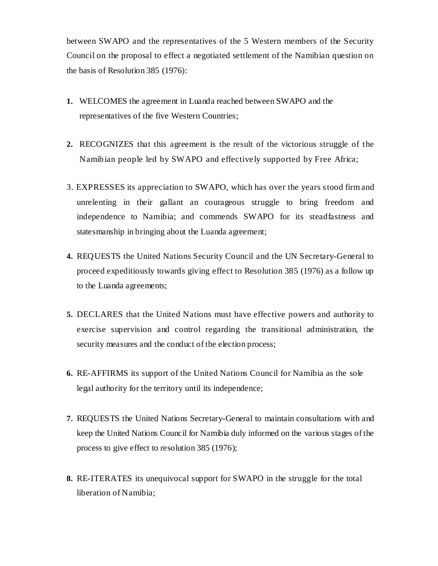between SWAPO and the representatives of the 5 Western members of the Security Council on the proposal to effect a negotiated settlement of the Namibian question on the basis of Resolution 385 (1976):

- **1.** WELCOMES the agreement in Luanda reached between SWAPO and the representatives of the five Western Countries;
- **2.** RECOGNIZES that this agreement is the result of the victorious struggle of the Namibian people led by SWAPO and effectively supported by Free Africa;
- 3. EXPRESSES its appreciation to SWAPO, which has over the years stood firm and unrelenting in their gallant an courageous struggle to bring freedom and independence to Namibia; and commends SWAPO for its steadfastness and statesmanship in bringing about the Luanda agreement;
- **4.** REQUESTS the United Nations Security Council and the UN Secretary-General to proceed expeditiously towards giving effect to Resolution 385 (1976) as a follow up to the Luanda agreements;
- **5.** DECLARES that the United Nations must have effective powers and authority to exercise supervision and control regarding the transitional administration, the security measures and the conduct of the election process;
- **6.** RE-AFFIRMS its support of the United Nations Council for Namibia as the sole legal authority for the territory until its independence;
- **7.** REQUESTS the United Nations Secretary-General to maintain consultations with and keep the United Nations Council for Namibia duly informed on the various stages of the process to give effect to resolution 385 (1976);
- **8.** RE-ITERATES its unequivocal support for SWAPO in the struggle for the total liberation of Namibia;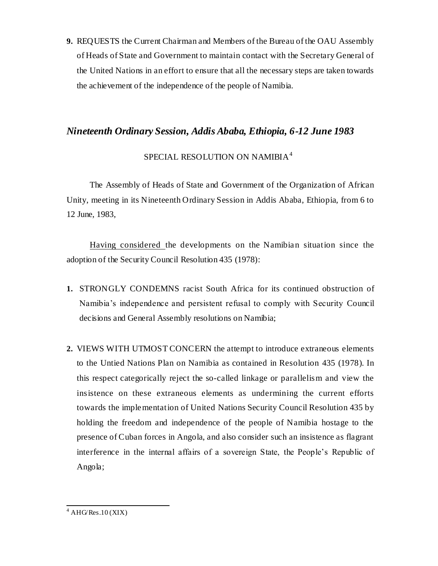**9.** REQUESTS the Current Chairman and Members of the Bureau of the OAU Assembly of Heads of State and Government to maintain contact with the Secretary General of the United Nations in an effort to ensure that all the necessary steps are taken towards the achievement of the independence of the people of Namibia.

## *Nineteenth Ordinary Session, Addis Ababa, Ethiopia, 6-12 June 1983*

# SPECIAL RESOLUTION ON NAMIBIA<sup>4</sup>

The Assembly of Heads of State and Government of the Organization of African Unity, meeting in its Nineteenth Ordinary Session in Addis Ababa, Ethiopia, from 6 to 12 June, 1983,

Having considered the developments on the Namibian situation since the adoption of the Security Council Resolution 435 (1978):

- **1.** STRONGLY CONDEMNS racist South Africa for its continued obstruction of Namibia's independence and persistent refusal to comply with Security Council decisions and General Assembly resolutions on Namibia;
- **2.** VIEWS WITH UTMOST CONCERN the attempt to introduce extraneous elements to the Untied Nations Plan on Namibia as contained in Resolution 435 (1978). In this respect categorically reject the so-called linkage or parallelism and view the insistence on these extraneous elements as undermining the current efforts towards the implementation of United Nations Security Council Resolution 435 by holding the freedom and independence of the people of Namibia hostage to the presence of Cuban forces in Angola, and also consider such an insistence as flagrant interference in the internal affairs of a sovereign State, the People's Republic of Angola;

l  $4$  AHG/Res.10 (XIX)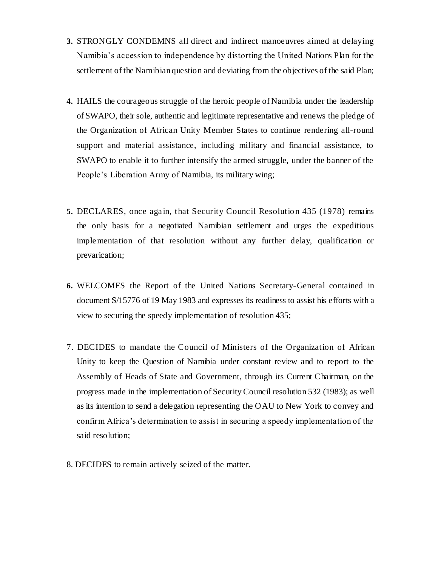- **3.** STRONGLY CONDEMNS all direct and indirect manoeuvres aimed at delaying Namibia's accession to independence by distorting the United Nations Plan for the settlement of the Namibian question and deviating from the objectives of the said Plan;
- **4.** HAILS the courageous struggle of the heroic people of Namibia under the leadership of SWAPO, their sole, authentic and legitimate representative and renews the pledge of the Organization of African Unity Member States to continue rendering all-round support and material assistance, including military and financial assistance, to SWAPO to enable it to further intensify the armed struggle, under the banner of the People's Liberation Army of Namibia, its military wing;
- **5.** DECLARES, once again, that Security Council Resolution 435 (1978) remains the only basis for a negotiated Namibian settlement and urges the expeditious implementation of that resolution without any further delay, qualification or prevarication;
- **6.** WELCOMES the Report of the United Nations Secretary-General contained in document S/15776 of 19 May 1983 and expresses its readiness to assist his efforts with a view to securing the speedy implementation of resolution 435;
- 7. DECIDES to mandate the Council of Ministers of the Organization of African Unity to keep the Question of Namibia under constant review and to report to the Assembly of Heads of State and Government, through its Current Chairman, on the progress made in the implementation of Security Council resolution 532 (1983); as well as its intention to send a delegation representing the OAU to New York to convey and confirm Africa's determination to assist in securing a speedy implementation of the said resolution;
- 8. DECIDES to remain actively seized of the matter.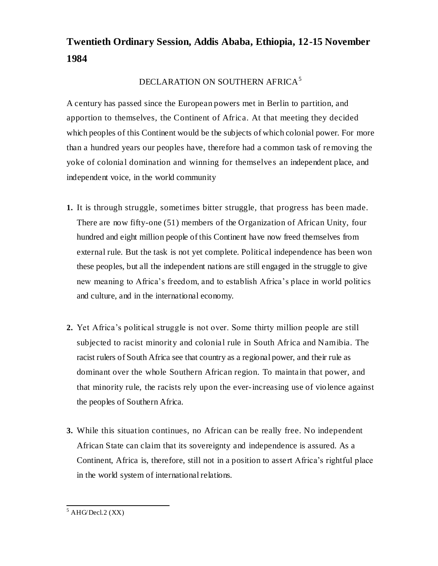# **Twentieth Ordinary Session, Addis Ababa, Ethiopia, 12-15 November 1984**

## DECLARATION ON SOUTHERN AFRICA<sup>5</sup>

A century has passed since the European powers met in Berlin to partition, and apportion to themselves, the Continent of Africa. At that meeting they decided which peoples of this Continent would be the subjects of which colonial power. For more than a hundred years our peoples have, therefore had a common task of removing the yoke of colonial domination and winning for themselves an independent place, and independent voice, in the world community

- **1.** It is through struggle, sometimes bitter struggle, that progress has been made. There are now fifty-one (51) members of the Organization of African Unity, four hundred and eight million people of this Continent have now freed themselves from external rule. But the task is not yet complete. Political independence has been won these peoples, but all the independent nations are still engaged in the struggle to give new meaning to Africa's freedom, and to establish Africa's place in world politics and culture, and in the international economy.
- **2.** Yet Africa's political struggle is not over. Some thirty million people are still subjected to racist minority and colonial rule in South Africa and Namibia. The racist rulers of South Africa see that country as a regional power, and their rule as dominant over the whole Southern African region. To maintain that power, and that minority rule, the racists rely upon the ever-increasing use of violence against the peoples of Southern Africa.
- **3.** While this situation continues, no African can be really free. No independent African State can claim that its sovereignty and independence is assured. As a Continent, Africa is, therefore, still not in a position to assert Africa's rightful place in the world system of international relations.

l  $<sup>5</sup>$  AHG/Decl.2 (XX)</sup>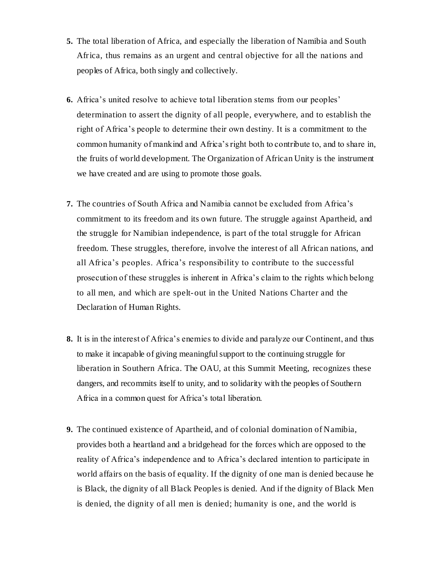- **5.** The total liberation of Africa, and especially the liberation of Namibia and South Africa, thus remains as an urgent and central objective for all the nations and peoples of Africa, both singly and collectively.
- **6.** Africa's united resolve to achieve total liberation stems from our peoples' determination to assert the dignity of all people, everywhere, and to establish the right of Africa's people to determine their own destiny. It is a commitment to the common humanity of mankind and Africa's right both to contribute to, and to share in, the fruits of world development. The Organization of African Unity is the instrument we have created and are using to promote those goals.
- **7.** The countries of South Africa and Namibia cannot be excluded from Africa's commitment to its freedom and its own future. The struggle against Apartheid, and the struggle for Namibian independence, is part of the total struggle for African freedom. These struggles, therefore, involve the interest of all African nations, and all Africa's peoples. Africa's responsibility to contribute to the successful prosecution of these struggles is inherent in Africa's claim to the rights which belong to all men, and which are spelt-out in the United Nations Charter and the Declaration of Human Rights.
- **8.** It is in the interest of Africa's enemies to divide and paralyze our Continent, and thus to make it incapable of giving meaningful support to the continuing struggle for liberation in Southern Africa. The OAU, at this Summit Meeting, recognizes these dangers, and recommits itself to unity, and to solidarity with the peoples of Southern Africa in a common quest for Africa's total liberation.
- **9.** The continued existence of Apartheid, and of colonial domination of Namibia, provides both a heartland and a bridgehead for the forces which are opposed to the reality of Africa's independence and to Africa's declared intention to participate in world affairs on the basis of equality. If the dignity of one man is denied because he is Black, the dignity of all Black Peoples is denied. And if the dignity of Black Men is denied, the dignity of all men is denied; humanity is one, and the world is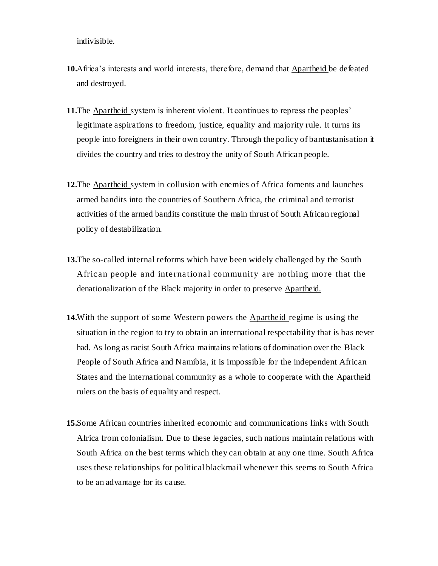indivisible.

- **10.**Africa's interests and world interests, therefore, demand that Apartheid be defeated and destroyed.
- **11.**The Apartheid system is inherent violent. It continues to repress the peoples' legitimate aspirations to freedom, justice, equality and majority rule. It turns its people into foreigners in their own country. Through the policy of bantustanisation it divides the country and tries to destroy the unity of South African people.
- **12.**The Apartheid system in collusion with enemies of Africa foments and launches armed bandits into the countries of Southern Africa, the criminal and terrorist activities of the armed bandits constitute the main thrust of South African regional policy of destabilization.
- **13.**The so-called internal reforms which have been widely challenged by the South African people and international communit y are nothing more that the denationalization of the Black majority in order to preserve Apartheid.
- **14.**With the support of some Western powers the Apartheid regime is using the situation in the region to try to obtain an international respectability that is has never had. As long as racist South Africa maintains relations of domination over the Black People of South Africa and Namibia, it is impossible for the independent African States and the international community as a whole to cooperate with the Apartheid rulers on the basis of equality and respect.
- **15.**Some African countries inherited economic and communications links with South Africa from colonialism. Due to these legacies, such nations maintain relations with South Africa on the best terms which they can obtain at any one time. South Africa uses these relationships for political blackmail whenever this seems to South Africa to be an advantage for its cause.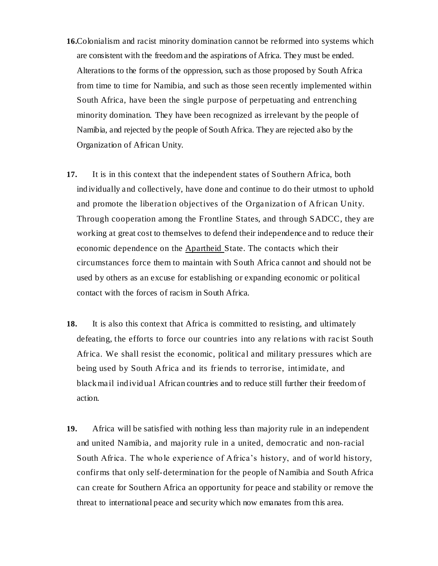- **16.**Colonialism and racist minority domination cannot be reformed into systems which are consistent with the freedom and the aspirations of Africa. They must be ended. Alterations to the forms of the oppression, such as those proposed by South Africa from time to time for Namibia, and such as those seen recently implemented within South Africa, have been the single purpose of perpetuating and entrenching minority domination. They have been recognized as irrelevant by the people of Namibia, and rejected by the people of South Africa. They are rejected also by the Organization of African Unity.
- **17.** It is in this context that the independent states of Southern Africa, both individually and collectively, have done and continue to do their utmost to uphold and promote the liberation objectives of the Organization of African Unity. Through cooperation among the Frontline States, and through SADCC, they are working at great cost to themselves to defend their independence and to reduce their economic dependence on the Apartheid State. The contacts which their circumstances force them to maintain with South Africa cannot and should not be used by others as an excuse for establishing or expanding economic or political contact with the forces of racism in South Africa.
- **18.** It is also this context that Africa is committed to resisting, and ultimately defeating, the efforts to force our countries into any relations with racist South Africa. We shall resist the economic, political and military pressures which are being used by South Africa and its friends to terrorise, intimidate, and blackmail individual African countries and to reduce still further their freedom of action.
- **19.** Africa will be satisfied with nothing less than majority rule in an independent and united Namibia, and majority rule in a united, democratic and non-racial South Africa. The whole experience of Africa's history, and of world history, confirms that only self-determination for the people of Namibia and South Africa can create for Southern Africa an opportunity for peace and stability or remove the threat to international peace and security which now emanates from this area.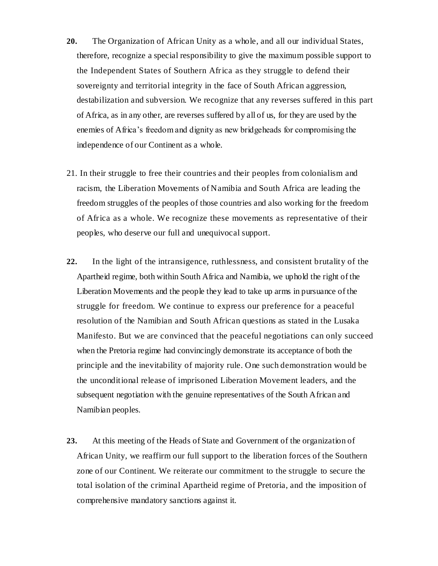- **20.** The Organization of African Unity as a whole, and all our individual States, therefore, recognize a special responsibility to give the maximum possible support to the Independent States of Southern Africa as they struggle to defend their sovereignty and territorial integrity in the face of South African aggression, destabilization and subversion. We recognize that any reverses suffered in this part of Africa, as in any other, are reverses suffered by all of us, for they are used by the enemies of Africa's freedom and dignity as new bridgeheads for compromising the independence of our Continent as a whole.
- 21. In their struggle to free their countries and their peoples from colonialism and racism, the Liberation Movements of Namibia and South Africa are leading the freedom struggles of the peoples of those countries and also working for the freedom of Africa as a whole. We recognize these movements as representative of their peoples, who deserve our full and unequivocal support.
- **22.** In the light of the intransigence, ruthlessness, and consistent brutality of the Apartheid regime, both within South Africa and Namibia, we uphold the right of the Liberation Movements and the people they lead to take up arms in pursuance of the struggle for freedom. We continue to express our preference for a peaceful resolution of the Namibian and South African questions as stated in the Lusaka Manifesto. But we are convinced that the peaceful negotiations can only succeed when the Pretoria regime had convincingly demonstrate its acceptance of both the principle and the inevitability of majority rule. One such demonstration would be the unconditional release of imprisoned Liberation Movement leaders, and the subsequent negotiation with the genuine representatives of the South African and Namibian peoples.
- **23.** At this meeting of the Heads of State and Government of the organization of African Unity, we reaffirm our full support to the liberation forces of the Southern zone of our Continent. We reiterate our commitment to the struggle to secure the total isolation of the criminal Apartheid regime of Pretoria, and the imposition of comprehensive mandatory sanctions against it.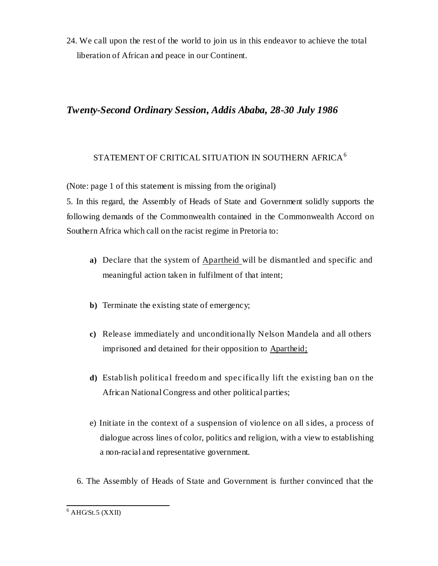24. We call upon the rest of the world to join us in this endeavor to achieve the total liberation of African and peace in our Continent.

## *Twenty-Second Ordinary Session, Addis Ababa, 28-30 July 1986*

# STATEMENT OF CRITICAL SITUATION IN SOUTHERN AFRICA $^6$

(Note: page 1 of this statement is missing from the original)

5. In this regard, the Assembly of Heads of State and Government solidly supports the following demands of the Commonwealth contained in the Commonwealth Accord on Southern Africa which call on the racist regime in Pretoria to:

- **a)** Declare that the system of Apartheid will be dismantled and specific and meaningful action taken in fulfilment of that intent;
- **b)** Terminate the existing state of emergency;
- **c)** Release immediately and unconditionally Nelson Mandela and all others imprisoned and detained for their opposition to Apartheid;
- **d)** Establish political freedom and specifically lift the existing ban on the African National Congress and other political parties;
- e) Initiate in the context of a suspension of violence on all sides, a process of dialogue across lines of color, politics and religion, with a view to establishing a non-racial and representative government.
- 6. The Assembly of Heads of State and Government is further convinced that the

l  $6$  AHG/St.5 (XXII)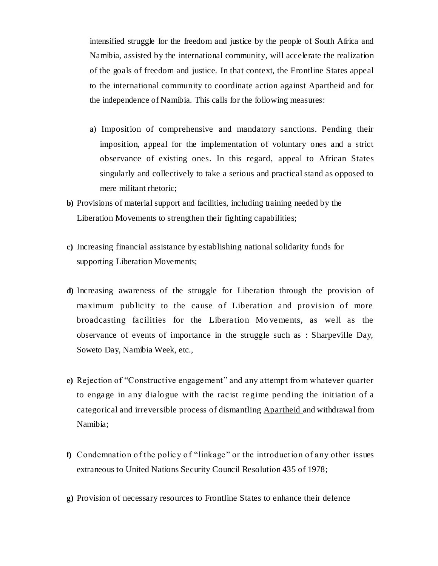intensified struggle for the freedom and justice by the people of South Africa and Namibia, assisted by the international community, will accelerate the realization of the goals of freedom and justice. In that context, the Frontline States appeal to the international community to coordinate action against Apartheid and for the independence of Namibia. This calls for the following measures:

- a) Imposition of comprehensive and mandatory sanctions. Pending their imposition, appeal for the implementation of voluntary ones and a strict observance of existing ones. In this regard, appeal to African States singularly and collectively to take a serious and practical stand as opposed to mere militant rhetoric;
- **b)** Provisions of material support and facilities, including training needed by the Liberation Movements to strengthen their fighting capabilities;
- **c)** Increasing financial assistance by establishing national solidarity funds for supporting Liberation Movements;
- **d)** Increasing awareness of the struggle for Liberation through the provision of maximum publicity to the cause of Liberation and provision of more broadcasting facilities for the Liberation Mo vements, as well as the observance of events of importance in the struggle such as : Sharpeville Day, Soweto Day, Namibia Week, etc.,
- **e)** Rejection of "Constructive engagement" and any attempt from whatever quarter to engage in any dialogue with the racist regime pending the initiation of a categorical and irreversible process of dismantling Apartheid and withdrawal from Namibia;
- **f)** Condemnation of the policy of "linkage" or the introduction of any other issues extraneous to United Nations Security Council Resolution 435 of 1978;
- **g)** Provision of necessary resources to Frontline States to enhance their defence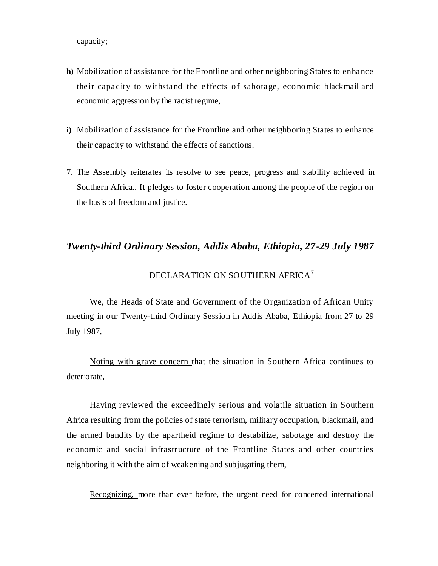capacity;

- **h)** Mobilization of assistance for the Frontline and other neighboring States to enhance their capacity to withstand the effects of sabotage, economic blackmail and economic aggression by the racist regime,
- **i)** Mobilization of assistance for the Frontline and other neighboring States to enhance their capacity to withstand the effects of sanctions.
- 7. The Assembly reiterates its resolve to see peace, progress and stability achieved in Southern Africa.. It pledges to foster cooperation among the people of the region on the basis of freedom and justice.

### *Twenty-third Ordinary Session, Addis Ababa, Ethiopia, 27-29 July 1987*

# DECLARATION ON SOUTHERN AFRICA $^7$

We, the Heads of State and Government of the Organization of African Unity meeting in our Twenty-third Ordinary Session in Addis Ababa, Ethiopia from 27 to 29 July 1987,

Noting with grave concern that the situation in Southern Africa continues to deteriorate,

Having reviewed the exceedingly serious and volatile situation in Southern Africa resulting from the policies of state terrorism, military occupation, blackmail, and the armed bandits by the apartheid regime to destabilize, sabotage and destroy the economic and social infrastructure of the Frontline States and other countries neighboring it with the aim of weakening and subjugating them,

Recognizing, more than ever before, the urgent need for concerted international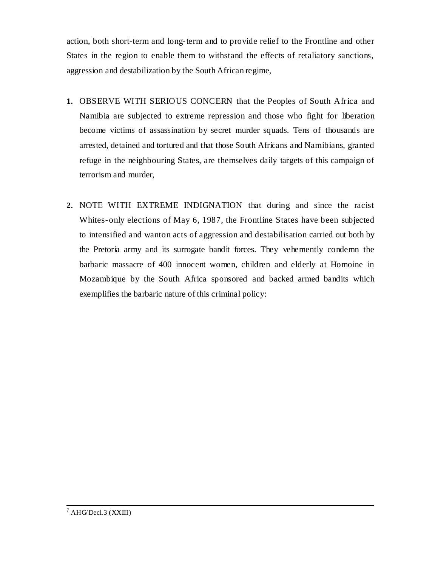action, both short-term and long-term and to provide relief to the Frontline and other States in the region to enable them to withstand the effects of retaliatory sanctions, aggression and destabilization by the South African regime,

- **1.** OBSERVE WITH SERIOUS CONCERN that the Peoples of South Africa and Namibia are subjected to extreme repression and those who fight for liberation become victims of assassination by secret murder squads. Tens of thousands are arrested, detained and tortured and that those South Africans and Namibians, granted refuge in the neighbouring States, are themselves daily targets of this campaign of terrorism and murder,
- **2.** NOTE WITH EXTREME INDIGNATION that during and since the racist Whites-only elections of May 6, 1987, the Frontline States have been subjected to intensified and wanton acts of aggression and destabilisation carried out both by the Pretoria army and its surrogate bandit forces. They vehemently condemn the barbaric massacre of 400 innocent women, children and elderly at Homoine in Mozambique by the South Africa sponsored and backed armed bandits which exemplifies the barbaric nature of this criminal policy: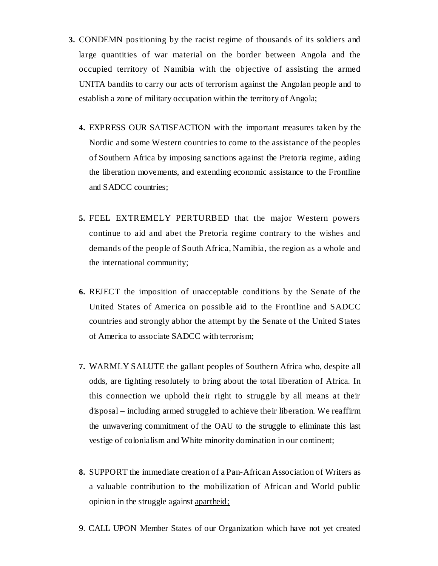- **3.** CONDEMN positioning by the racist regime of thousands of its soldiers and large quantities of war material on the border between Angola and the occupied territory of Namibia with the objective of assisting the armed UNITA bandits to carry our acts of terrorism against the Angolan people and to establish a zone of military occupation within the territory of Angola;
	- **4.** EXPRESS OUR SATISFACTION with the important measures taken by the Nordic and some Western countries to come to the assistance of the peoples of Southern Africa by imposing sanctions against the Pretoria regime, aiding the liberation movements, and extending economic assistance to the Frontline and SADCC countries;
	- **5.** FEEL EXTREMELY PERTURBED that the major Western powers continue to aid and abet the Pretoria regime contrary to the wishes and demands of the people of South Africa, Namibia, the region as a whole and the international community;
	- **6.** REJECT the imposition of unacceptable conditions by the Senate of the United States of America on possible aid to the Frontline and SADCC countries and strongly abhor the attempt by the Senate of the United States of America to associate SADCC with terrorism;
	- **7.** WARMLY SALUTE the gallant peoples of Southern Africa who, despite all odds, are fighting resolutely to bring about the total liberation of Africa. In this connection we uphold their right to struggle by all means at their disposal – including armed struggled to achieve their liberation. We reaffirm the unwavering commitment of the OAU to the struggle to eliminate this last vestige of colonialism and White minority domination in our continent;
	- **8.** SUPPORT the immediate creation of a Pan-African Association of Writers as a valuable contribution to the mobilization of African and World public opinion in the struggle against apartheid;
	- 9. CALL UPON Member States of our Organization which have not yet created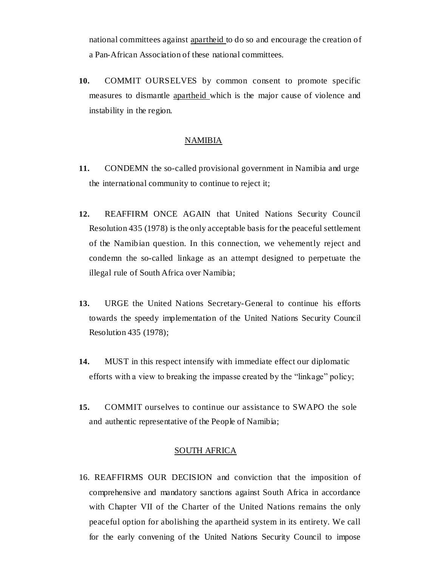national committees against apartheid to do so and encourage the creation of a Pan-African Association of these national committees.

**10.** COMMIT OURSELVES by common consent to promote specific measures to dismantle apartheid which is the major cause of violence and instability in the region.

### NAMIBIA

- **11.** CONDEMN the so-called provisional government in Namibia and urge the international community to continue to reject it;
- **12.** REAFFIRM ONCE AGAIN that United Nations Security Council Resolution 435 (1978) is the only acceptable basis for the peaceful settlement of the Namibian question. In this connection, we vehemently reject and condemn the so-called linkage as an attempt designed to perpetuate the illegal rule of South Africa over Namibia;
- **13.** URGE the United Nations Secretary-General to continue his efforts towards the speedy implementation of the United Nations Security Council Resolution 435 (1978);
- **14.** MUST in this respect intensify with immediate effect our diplomatic efforts with a view to breaking the impasse created by the "linkage" policy;
- **15.** COMMIT ourselves to continue our assistance to SWAPO the sole and authentic representative of the People of Namibia;

#### SOUTH AFRICA

16. REAFFIRMS OUR DECISION and conviction that the imposition of comprehensive and mandatory sanctions against South Africa in accordance with Chapter VII of the Charter of the United Nations remains the only peaceful option for abolishing the apartheid system in its entirety. We call for the early convening of the United Nations Security Council to impose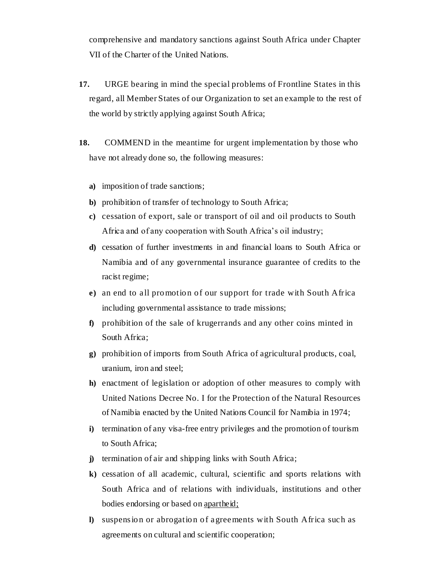comprehensive and mandatory sanctions against South Africa under Chapter VII of the Charter of the United Nations.

- **17.** URGE bearing in mind the special problems of Frontline States in this regard, all Member States of our Organization to set an example to the rest of the world by strictly applying against South Africa;
- **18.** COMMEND in the meantime for urgent implementation by those who have not already done so, the following measures:
	- **a)** imposition of trade sanctions;
	- **b)** prohibition of transfer of technology to South Africa;
	- **c)** cessation of export, sale or transport of oil and oil products to South Africa and of any cooperation with South Africa's oil industry;
	- **d)** cessation of further investments in and financial loans to South Africa or Namibia and of any governmental insurance guarantee of credits to the racist regime;
	- **e)** an end to all promotion of our support for trade with South Africa including governmental assistance to trade missions;
	- **f)** prohibition of the sale of krugerrands and any other coins minted in South Africa;
	- **g)** prohibition of imports from South Africa of agricultural products, coal, uranium, iron and steel;
	- **h)** enactment of legislation or adoption of other measures to comply with United Nations Decree No. I for the Protection of the Natural Resources of Namibia enacted by the United Nations Council for Namibia in 1974;
	- **i)** termination of any visa-free entry privileges and the promotion of tourism to South Africa;
	- **j)** termination of air and shipping links with South Africa;
	- **k)** cessation of all academic, cultural, scientific and sports relations with South Africa and of relations with individuals, institutions and other bodies endorsing or based on apartheid;
	- **l)** suspension or abrogation of agreements with South Africa such as agreements on cultural and scientific cooperation;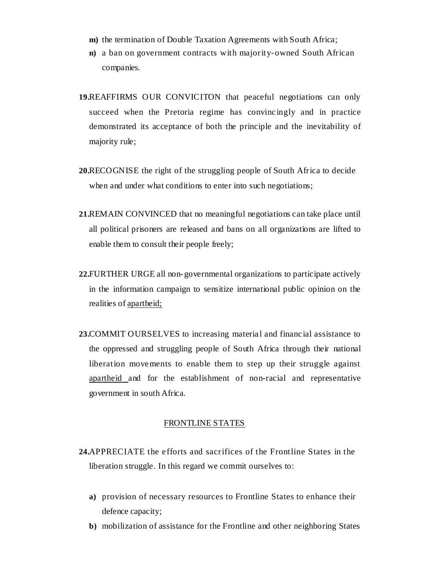- **m)** the termination of Double Taxation Agreements with South Africa;
- **n)** a ban on government contracts with majority-owned South African companies.
- **19.**REAFFIRMS OUR CONVICITON that peaceful negotiations can only succeed when the Pretoria regime has convincingly and in practice demonstrated its acceptance of both the principle and the inevitability of majority rule;
- **20.**RECOGNISE the right of the struggling people of South Africa to decide when and under what conditions to enter into such negotiations;
- **21.**REMAIN CONVINCED that no meaningful negotiations can take place until all political prisoners are released and bans on all organizations are lifted to enable them to consult their people freely;
- **22.**FURTHER URGE all non-governmental organizations to participate actively in the information campaign to sensitize international public opinion on the realities of apartheid;
- **23.**COMMIT OURSELVES to increasing material and financial assistance to the oppressed and struggling people of South Africa through their national liberation movements to enable them to step up their struggle against apartheid and for the establishment of non-racial and representative government in south Africa.

#### FRONTLINE STATES

- **24.**APPRECIATE the efforts and sacrifices of the Frontline States in the liberation struggle. In this regard we commit ourselves to:
	- **a)** provision of necessary resources to Frontline States to enhance their defence capacity;
	- **b)** mobilization of assistance for the Frontline and other neighboring States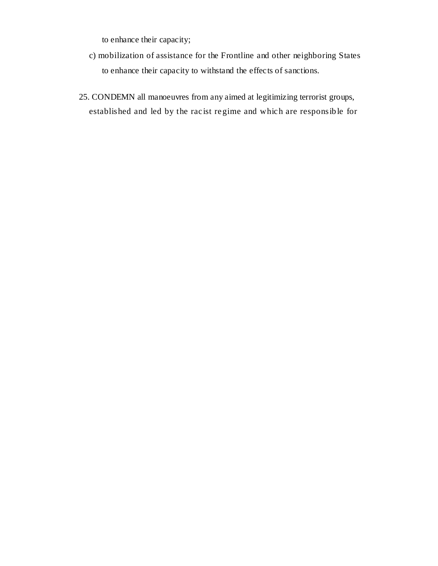to enhance their capacity;

- c) mobilization of assistance for the Frontline and other neighboring States to enhance their capacity to withstand the effects of sanctions.
- 25. CONDEMN all manoeuvres from any aimed at legitimizing terrorist groups, established and led by the racist regime and which are responsible for